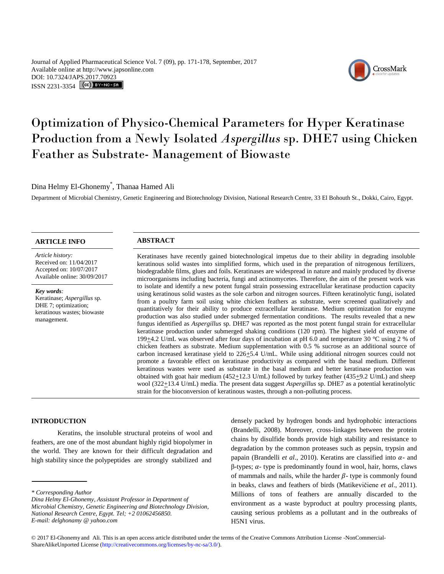Journal of Applied Pharmaceutical Science Vol. 7 (09), pp. 171-178, September, 2017 Available online at http://www.japsonline.com DOI: 10.7324/JA[PS.2017.70923](http://creativecommons.org/licenses/by-nc-sa/3.0/) ISSN 2231-3354 **(cc)** BY-NO-SA



# Optimization of Physico-Chemical Parameters for Hyper Keratinase Production from a Newly Isolated *Aspergillus* sp. DHE7 using Chicken Feather as Substrate- Management of Biowaste

Dina Helmy El-Ghonemy\* , Thanaa Hamed Ali

Department of Microbial Chemistry, Genetic Engineering and Biotechnology Division, National Research Centre, 33 El Bohouth St., Dokki, Cairo, Egypt.

# **ARTICLE INFO ABSTRACT**

*Article history:* Received on: 11/04/2017 Accepted on: 10/07/2017 Available online: 30/09/2017

*Key words:*  Keratinase; *Aspergillus* sp. DHE 7; optimization; keratinous wastes; biowaste management.

Keratinases have recently gained biotechnological impetus due to their ability in degrading insoluble keratinous solid wastes into simplified forms, which used in the preparation of nitrogenous fertilizers, biodegradable films, glues and foils. Keratinases are widespread in nature and mainly produced by diverse microorganisms including bacteria, fungi and actinomycetes. Therefore, the aim of the present work was to isolate and identify a new potent fungal strain possessing extracellular keratinase production capacity using keratinous solid wastes as the sole carbon and nitrogen sources. Fifteen keratinolytic fungi, isolated from a poultry farm soil using white chicken feathers as substrate, were screened qualitatively and quantitatively for their ability to produce extracellular keratinase. Medium optimization for enzyme production was also studied under submerged fermentation conditions. The results revealed that a new fungus identified as *Aspergillus* sp. DHE7 was reported as the most potent fungal strain for extracellular keratinase production under submerged shaking conditions (120 rpm). The highest yield of enzyme of 199 $\pm$ 4.2 U/mL was observed after four days of incubation at pH 6.0 and temperature 30 °C using 2 % of chicken feathers as substrate. Medium supplementation with 0.5 % sucrose as an additional source of carbon increased keratinase yield to 226 $\pm$ 5.4 U/mL. While using additional nitrogen sources could not promote a favorable effect on keratinase productivity as compared with the basal medium. Different keratinous wastes were used as substrate in the basal medium and better keratinase production was obtained with goat hair medium ( $452\pm12.3$  U/mL) followed by turkey feather ( $435\pm9.2$  U/mL) and sheep wool (322 $\pm$ 13.4 U/mL) media. The present data suggest *Aspergillus* sp. DHE7 as a potential keratinolytic strain for the bioconversion of keratinous wastes, through a non-polluting process.

#### **INTRODUCTION**

Keratins, the insoluble structural proteins of wool and feathers, are one of the most abundant highly rigid biopolymer in the world. They are known for their difficult degradation and high stability since the polypeptides are strongly stabilized and

densely packed by hydrogen bonds and hydrophobic interactions (Brandelli, 2008). Moreover, cross-linkages between the protein chains by disulfide bonds provide high stability and resistance to degradation by the common proteases such as pepsin, trypsin and papain (Brandelli *et al.*, 2010). Keratins are classified into  $\alpha$ - and  $β$ -types;  $α$ - type is predominantly found in wool, hair, horns, claws of mammals and nails, while the harder  $\beta$ - type is commonly found in beaks, claws and feathers of birds (Matikevičiene *et al*., 2011). Millions of tons of feathers are annually discarded to the environment as a waste byproduct at poultry processing plants, causing serious problems as a pollutant and in the outbreaks of H5N1 virus.

*<sup>\*</sup> Corresponding Author*

*Dina Helmy El-Ghonemy, Assistant Professor in Department of Microbial Chemistry, Genetic Engineering and Biotechnology Division, National Research Centre, Egypt. Tel; +2 01062456850. E-mail: delghonamy @ yahoo.com*

<sup>© 2017</sup> El-Ghonemy and Ali*.* This is an open access article distributed under the terms of the Creative Commons Attribution License -NonCommercial-ShareAlikeUnported License (http://creativecommons.org/licenses/by-nc-sa/3.0/).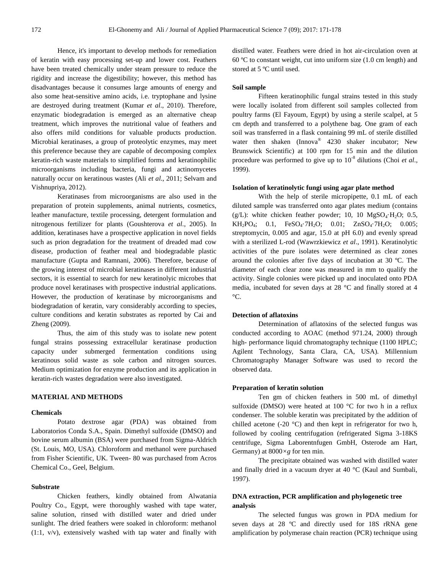Hence, it's important to develop methods for remediation of keratin with easy processing set-up and lower cost. Feathers have been treated chemically under steam pressure to reduce the rigidity and increase the digestibility; however, this method has disadvantages because it consumes large amounts of energy and also some heat-sensitive amino acids, i.e. tryptophane and lysine are destroyed during treatment (Kumar *et al*., 2010). Therefore, enzymatic biodegradation is emerged as an alternative cheap treatment, which improves the nutritional value of feathers and also offers mild conditions for valuable products production. Microbial keratinases, a group of proteolytic enzymes, may meet this preference because they are capable of decomposing complex keratin-rich waste materials to simplified forms and keratinophilic microorganisms including bacteria, fungi and actinomycetes naturally occur on keratinous wastes (Ali *et al*., 2011; Selvam and Vishnupriya, 2012).

Keratinases from microorganisms are also used in the preparation of protein supplements, animal nutrients, cosmetics, leather manufacture, textile processing, detergent formulation and nitrogenous fertilizer for plants (Goushterova *et al*., 2005). In addition, keratinases have a prospective application in novel fields such as prion degradation for the treatment of dreaded mad cow disease, production of feather meal and biodegradable plastic manufacture (Gupta and Ramnani, 2006). Therefore, because of the growing interest of microbial keratinases in different industrial sectors, it is essential to search for new keratinolyic microbes that produce novel keratinases with prospective industrial applications. However, the production of keratinase by microorganisms and biodegradation of keratin, vary considerably according to species, culture conditions and keratin substrates as reported by Cai and Zheng (2009).

Thus, the aim of this study was to isolate new potent fungal strains possessing extracellular keratinase production capacity under submerged fermentation conditions using keratinous solid waste as sole carbon and nitrogen sources. Medium optimization for enzyme production and its application in keratin-rich wastes degradation were also investigated.

# **MATERIAL AND METHODS**

#### **Chemicals**

Potato dextrose agar (PDA) was obtained from Laboratorios Conda S.A., Spain. Dimethyl sulfoxide (DMSO) and bovine serum albumin (BSA) were purchased from Sigma-Aldrich (St. Louis, MO, USA). Chloroform and methanol were purchased from Fisher Scientific, UK. Tween- 80 was purchased from Acros Chemical Co., Geel, Belgium.

### **Substrate**

Chicken feathers, kindly obtained from Alwatania Poultry Co., Egypt, were thoroughly washed with tape water, saline solution, rinsed with distilled water and dried under sunlight. The dried feathers were soaked in chloroform: methanol (1:1, v/v), extensively washed with tap water and finally with distilled water. Feathers were dried in hot air-circulation oven at 60 ºC to constant weight, cut into uniform size (1.0 cm length) and stored at 5 ºC until used.

#### **Soil sample**

Fifteen keratinophilic fungal strains tested in this study were locally isolated from different soil samples collected from poultry farms (El Fayoum, Egypt) by using a sterile scalpel, at 5 cm depth and transferred to a polythene bag. One gram of each soil was transferred in a flask containing 99 mL of sterile distilled water then shaken (Innova ® 4230 shaker incubator; New Brunswick Scientific) at 100 rpm for 15 min and the dilution procedure was performed to give up to 10<sup>-8</sup> dilutions (Choi *et al.*, 1999).

#### **Isolation of keratinolytic fungi using agar plate method**

With the help of sterile micropipette, 0.1 mL of each diluted sample was transferred onto agar plates medium (contains (g/L): white chicken feather powder; 10, 10  $MgSO<sub>4</sub>·H<sub>2</sub>O$ ; 0.5,  $KH_2PO_4$ ; 0.1,  $FeSO_4 \cdot 7H_2O$ ; 0.01;  $ZnSO_4 \cdot 7H_2O$ ; 0.005; streptomycin, 0.005 and agar, 15.0 at pH 6.0) and evenly spread with a sterilized L-rod [\(Wawrzkiewicz](http://scialert.net/fulltext/?doi=jm.2010.21.35&org=10#368980_ja) *et al*., 1991). Keratinolytic activities of the pure isolates were determined as clear zones around the colonies after five days of incubation at 30 ºC. The diameter of each clear zone was measured in mm to qualify the activity. Single colonies were picked up and inoculated onto PDA media, incubated for seven days at 28 °C and finally stored at 4  $\rm{^{\circ}C}.$ 

# **Detection of aflatoxins**

Determination of aflatoxins of the selected fungus was conducted according to AOAC (method 971.24, 2000) through high- performance liquid chromatography technique (1100 HPLC; Agilent Technology, Santa Clara, CA, USA). Millennium Chromatography Manager Software was used to record the observed data.

#### **Preparation of keratin solution**

Ten gm of chicken feathers in 500 mL of dimethyl sulfoxide (DMSO) were heated at 100 °C for two h in a reflux condenser. The soluble keratin was precipitated by the addition of chilled acetone (-20 $\degree$ C) and then kept in refrigerator for two h, followed by cooling centrifugation (refrigerated Sigma 3-18KS centrifuge, Sigma Laborentnfugen GmbH, Osterode am Hart, Germany) at 8000*×g* for ten min.

The precipitate obtained was washed with distilled water and finally dried in a vacuum dryer at 40 °C (Kaul and Sumbali, 1997).

# **DNA extraction, PCR amplification and phylogenetic tree analysis**

The selected fungus was grown in PDA medium for seven days at 28 ºC and directly used for 18S rRNA gene amplification by polymerase chain reaction (PCR) technique using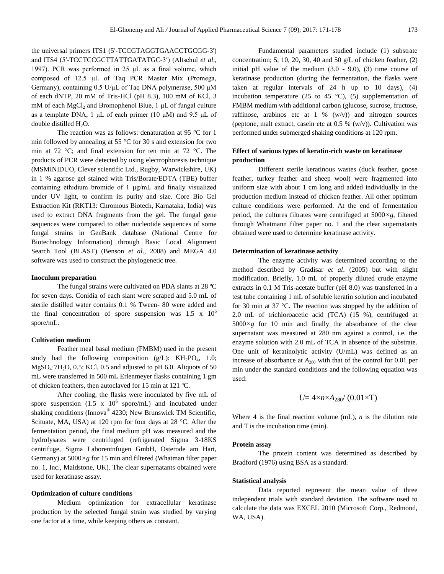the universal primers ITS1 (5'-TCCGTAGGTGAACCTGCGG-3') and ITS4 (5′-TCCTCCGCTTATTGATATGC-3′) (Altschul *et al*., 1997). PCR was performed in 25 μL as a final volume, which composed of 12.5 μL of Taq PCR Master Mix (Promega, Germany), containing 0.5 U/μL of Taq DNA polymerase, 500 μM of each dNTP, 20 mM of Tris-HCl (pH 8.3), 100 mM of KCl, 3 mM of each  $MgCl<sub>2</sub>$  and Bromophenol Blue, 1  $\mu$ L of fungal culture as a template DNA, 1  $\mu$ L of each primer (10  $\mu$ M) and 9.5  $\mu$ L of double distilled H<sub>2</sub>O.

The reaction was as follows: denaturation at 95 °C for 1 min followed by annealing at 55 °C for 30 s and extension for two min at 72 °C; and final extension for ten min at 72 °C. The products of PCR were detected by using electrophoresis technique (MSMINIDUO, Clever scientific Ltd., Rugby, Warwickshire, UK) in 1 % agarose gel stained with Tris/Borate/EDTA (TBE) buffer containing ethidium bromide of 1 μg/mL and finally visualized under UV light, to confirm its purity and size. Core Bio Gel Extraction Kit (RKT13: Chromous Biotech, Karnataka, India) was used to extract DNA fragments from the gel. The fungal gene sequences were compared to other nucleotide sequences of some fungal strains in GenBank database (National Centre for Biotechnology Information) through Basic Local Alignment Search Tool (BLAST) (Benson *et al*., 2008) and MEGA 4.0 software was used to construct the phylogenetic tree.

#### **Inoculum preparation**

The fungal strains were cultivated on PDA slants at 28 ºC for seven days. Conidia of each slant were scraped and 5.0 mL of sterile distilled water contains 0.1 % Tween- 80 were added and the final concentration of spore suspension was  $1.5 \times 10^6$ spore/mL.

#### **Cultivation medium**

Feather meal basal medium (FMBM) used in the present study had the following composition  $(g/L)$ :  $KH_2PO_4$ , 1.0;  $MgSO<sub>4</sub>·7H<sub>2</sub>O$ , 0.5; KCl, 0.5 and adjusted to pH 6.0. Aliquots of 50 mL were transferred in 500 mL Erlenmeyer flasks containing 1 gm of chicken feathers, then autoclaved for 15 min at 121 ºC.

After cooling, the flasks were inoculated by five mL of spore suspension  $(1.5 \times 10^6 \text{ spore/mL})$  and incubated under shaking conditions (Innova® 4230; New Brunswick TM Scientific, Scituate, MA, USA) at 120 rpm for four days at 28 °C. After the fermentation period, the final medium pH was measured and the hydrolysates were centrifuged (refrigerated Sigma 3-18KS centrifuge, Sigma Laborentnfugen GmbH, Osterode am Hart, Germany) at 5000*×g* for 15 min and filtered (Whatman filter paper no. 1, Inc., Maidstone, UK). The clear supernatants obtained were used for keratinase assay.

#### **Optimization of culture conditions**

Medium optimization for extracellular keratinase production by the selected fungal strain was studied by varying one factor at a time, while keeping others as constant.

Fundamental parameters studied include (1) substrate concentration; 5, 10, 20, 30, 40 and 50 g/L of chicken feather, (2) initial pH value of the medium  $(3.0 - 9.0)$ ,  $(3)$  time course of keratinase production (during the fermentation, the flasks were taken at regular intervals of 24 h up to 10 days), (4) incubation temperature (25 to 45  $^{\circ}$ C), (5) supplementation of FMBM medium with additional carbon (glucose, sucrose, fructose, raffinose, arabinos etc at  $1\%$  (w/v)) and nitrogen sources (peptone, malt extract, casein etc at  $0.5\%$  (w/v)). Cultivation was performed under submerged shaking conditions at 120 rpm.

# **Effect of various types of keratin-rich waste on keratinase production**

Different sterile keratinous wastes (duck feather, goose feather, turkey feather and sheep wool) were fragmented into uniform size with about 1 cm long and added individually in the production medium instead of chicken feather. All other optimum culture conditions were performed. At the end of fermentation period, the cultures filtrates were centrifuged at 5000*×g*, filtered through Whatmann filter paper no. 1 and the clear supernatants obtained were used to determine keratinase activity.

#### **Determination of keratinase activity**

The enzyme activity was determined according to the method described by Gradisar *et al*. (2005) but with slight modification. Briefly, 1.0 mL of properly diluted crude enzyme extracts in 0.1 M Tris-acetate buffer (pH 8.0) was transferred in a test tube containing 1 mL of soluble keratin solution and incubated for 30 min at 37 °C. The reaction was stopped by the addition of 2.0 mL of trichloroacetic acid (TCA) (15 %), centrifuged at  $5000 \times g$  for 10 min and finally the absorbance of the clear supernatant was measured at 280 nm against a control, i.e. the enzyme solution with 2.0 mL of TCA in absence of the substrate. One unit of keratinolytic activity (U/mL) was defined as an increase of absorbance at  $A_{280}$  with that of the control for 0.01 per min under the standard conditions and the following equation was used:

$$
U=4\times n\times A_{280}/(0.01\times T)
$$

Where 4 is the final reaction volume (mL), *n* is the dilution rate and T is the incubation time (min).

#### **Protein assay**

The protein content was determined as described by Bradford (1976) using BSA as a standard.

#### **Statistical analysis**

Data reported represent the mean value of three independent trials with standard deviation. The software used to calculate the data was EXCEL 2010 (Microsoft Corp., Redmond, WA, USA).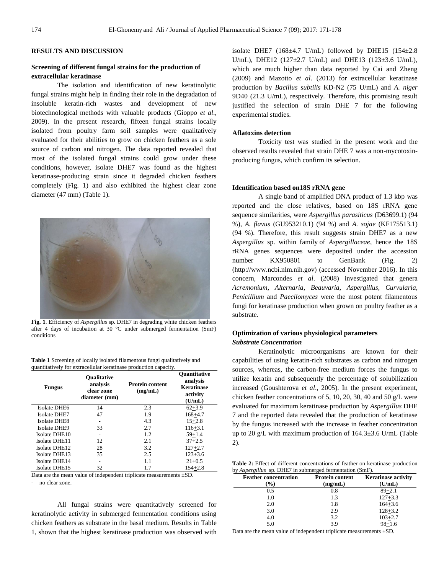# **RESULTS AND DISCUSSION**

# **Screening of different fungal strains for the production of extracellular keratinase**

The isolation and identification of new keratinolytic fungal strains might help in finding their role in the degradation of insoluble keratin-rich wastes and development of new biotechnological methods with valuable products (Gioppo *et al*., 2009). In the present research, fifteen fungal strains locally isolated from poultry farm soil samples were qualitatively evaluated for their abilities to grow on chicken feathers as a sole source of carbon and nitrogen. The data reported revealed that most of the isolated fungal strains could grow under these conditions, however, isolate DHE7 was found as the highest keratinase-producing strain since it degraded chicken feathers completely (Fig. 1) and also exhibited the highest clear zone diameter (47 mm) (Table 1).



**Fig. 1**. Efficiency of *Aspergillus* sp. DHE7 in degrading white chicken feathers after 4 days of incubation at 30 °C under submerged fermentation (SmF) conditions

| <b>Table 1</b> Screening of locally isolated filamentous fungi qualitatively and |  |
|----------------------------------------------------------------------------------|--|
| quantitatively for extracellular keratinase production capacity.                 |  |

| <b>Fungus</b>       | Qualitative<br>analysis<br>clear zone<br>diameter (mm) | <b>Protein content</b><br>(mg/mL) | <b>Ouantitative</b><br>analysis<br><b>Keratinase</b><br>activity<br>(U/mL) |
|---------------------|--------------------------------------------------------|-----------------------------------|----------------------------------------------------------------------------|
| Isolate DHE6        | 14                                                     | 2.3                               | $62 + 3.9$                                                                 |
| <b>Isolate DHE7</b> | 47                                                     | 1.9                               | $168 + 4.7$                                                                |
| <b>Isolate DHE8</b> |                                                        | 4.3                               | $15 + 2.8$                                                                 |
| <b>Isolate DHE9</b> | 33                                                     | 2.7                               | $116 + 3.1$                                                                |
| Isolate DHE10       | ۰                                                      | 1.2                               | $59 + 1.4$                                                                 |
| Isolate DHE11       | 12                                                     | 2.1                               | $37 + 2.5$                                                                 |
| Isolate DHE12       | 28                                                     | 3.2                               | $127 + 2.7$                                                                |
| Isolate DHE13       | 35                                                     | 2.5                               | $123 + 3.6$                                                                |
| Isolate DHE14       | ۰                                                      | 1.1                               | $21+0.5$                                                                   |
| Isolate DHE15       | 32                                                     | 1.7                               | $154 + 2.8$                                                                |

Data are the mean value of independent triplicate measurements ±SD. - = no clear zone.

All fungal strains were quantitatively screened for keratinolytic activity in submerged fermentation conditions using chicken feathers as substrate in the basal medium. Results in [Table](http://scialert.net/fulltext/?doi=jm.2010.21.35&org=10#f1) 1, shown that the highest keratinase production was observed with

isolate DHE7 (168 $\pm$ 4.7 U/mL) followed by DHE15 (154 $\pm$ 2.8 U/mL), DHE12 (127±2.7 U/mL) and DHE13 (123±3.6 U/mL), which are much higher than data reported by Cai and Zheng (2009) and Mazotto *et al*. (2013) for extracellular keratinase production by *Bacillus subtilis* KD-N2 (75 U/mL) and *A. niger* 9D40 (21.3 U/mL), respectively. Therefore, this promising result justified the selection of strain DHE 7 for the following experimental studies.

#### **Aflatoxins detection**

Toxicity test was studied in the present work and the observed results revealed that strain DHE 7 was a non-mycotoxinproducing fungus, which confirm its selection.

#### **Identification based on18S rRNA gene**

A single band of amplified DNA product of 1.3 kbp was reported and the close relatives, based on 18S rRNA gene sequence similarities, were *Aspergillus parasiticus* (D63699.1) (94 %), *A. flavus* (GU953210.1) (94 %) and *A. sojae* (KF175513.1) (94 %). Therefore, this result suggests strain DHE7 as a new *Aspergillus* sp. within family of *Aspergillaceae*, hence the 18S rRNA genes sequences were deposited under the accession number KX950801 to GenBank (Fig. 2) (http://www.ncbi.nlm.nih.gov) (accessed November 2016). In this concern, Marcondes *et al*. (2008) investigated that genera *Acremonium*, *Alternaria*, *Beauvaria*, *Aspergillus*, *Curvularia*, *Penicillium* and *Paecilomyces* were the most potent filamentous fungi for keratinase production when grown on poultry feather as a substrate.

# **Optimization of various physiological parameters**  *Substrate Concentration*

Keratinolytic microorganisms are known for their capabilities of using keratin-rich substrates as carbon and nitrogen sources, whereas, the carbon-free medium forces the fungus to utilize keratin and subsequently the percentage of solubilization increased (Goushterova *et al*., 2005). In the present experiment, chicken feather concentrations of 5, 10, 20, 30, 40 and 50 g/L were evaluated for maximum keratinase production by *Aspergillus* DHE 7 and the reported data revealed that the production of keratinase by the fungus increased with the increase in feather concentration up to 20 g/L with maximum production of 164.3±3.6 U/mL (Table 2).

**Table 2:** Effect of different concentrations of feather on keratinase production by *Aspergillus* sp. DHE7 in submerged fermentation (SmF).

| <b>Feather concentration</b><br>$\frac{1}{2}$ | <b>Protein content</b><br>(mg/mL) | <b>Keratinase activity</b><br>(U/mL) |
|-----------------------------------------------|-----------------------------------|--------------------------------------|
| 0.5                                           | 0.8                               | $89 + 2.1$                           |
| 1.0                                           | 1.3                               | $127 + 3.3$                          |
| 2.0                                           | 1.8                               | $164 + 3.6$                          |
| 3.0                                           | 2.9                               | $128 + 3.2$                          |
| 4.0                                           | 3.2                               | $103 + 2.7$                          |
| 5.0                                           | 3.9                               | $98 + 1.6$                           |

Data are the mean value of independent triplicate measurements  $\pm SD$ .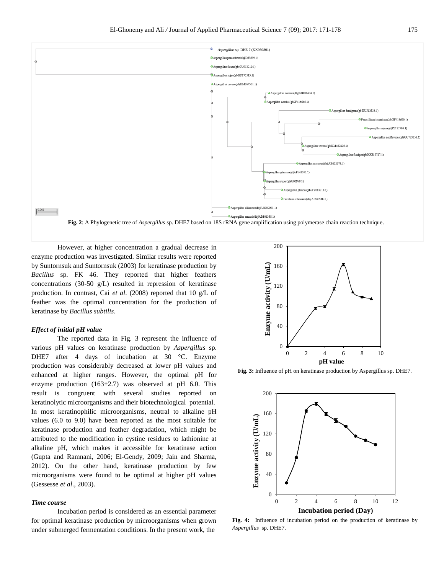

However, at higher concentration a gradual decrease in enzyme production was investigated. Similar results were reported by Suntornsuk and Suntornsuk (2003) for keratinase production by *Bacillus* sp. FK 46. They reported that higher feathers concentrations (30-50 g/L) resulted in repression of keratinase production. In contrast, Cai *et al*. (2008) reported that 10 g/L of feather was the optimal concentration for the production of keratinase by *Bacillus subtilis*.

#### *Effect of initial pH value*

The reported data in Fig. 3 represent the influence of various pH values on keratinase production by *Aspergillus* sp. DHE7 after 4 days of incubation at 30 °C. Enzyme production was considerably decreased at lower pH values and enhanced at higher ranges. However, the optimal pH for enzyme production  $(163\pm2.7)$  was observed at pH 6.0. This result is congruent with several studies reported on keratinolytic microorganisms and their biotechnological potential. In most keratinophilic microorganisms, neutral to alkaline pH values (6.0 to 9.0) have been reported as the most suitable for keratinase production and feather degradation, which might be attributed to the modification in cystine residues to lathionine at alkaline pH, which makes it accessible for keratinase action [\(Gupta and Ramnani, 2006;](http://scialert.net/fulltext/?doi=jm.2010.21.35&org=10#368940_ja) [El-Gendy, 2009;](http://scialert.net/fulltext/?doi=jm.2010.21.35&org=10#816_op) Jain and Sharma, 2012). On the other hand, keratinase production by few microorganisms were found to be optimal at higher pH values [\(Gessesse](http://scialert.net/fulltext/?doi=jm.2010.21.35&org=10#368935_ja) *et al*., 2003).

#### *Time course*

Incubation period is considered as an essential parameter for optimal keratinase production by microorganisms when grown under submerged fermentation conditions. In the present work, the



**Fig. 3:** Influence of pH on keratinase production by Aspergillus sp. DHE7.



**Fig. 4:** Influence of incubation period on the production of keratinase by *Aspergillus* sp. DHE7.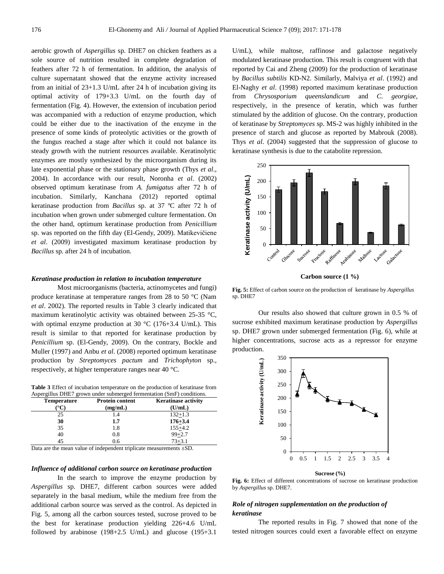aerobic growth of *Aspergillus* sp. DHE7 on chicken feathers as a sole source of nutrition resulted in complete degradation of feathers after 72 h of fermentation. In addition, the analysis of culture supernatant showed that the enzyme activity increased from an initial of 23+1.3 U/mL after 24 h of incubation giving its optimal activity of 179+3.3 U/mL on the fourth day of fermentation (Fig. 4). However, the extension of incubation period was accompanied with a reduction of enzyme production, which could be either due to the inactivation of the enzyme in the presence of some kinds of proteolytic activities or the growth of the fungus reached a stage after which it could not balance its steady growth with the nutrient resources available. Keratinolytic enzymes are mostly synthesized by the microorganism during its late exponential phase or the stationary phase growth (Thys *et al*., 2004). In accordance with our result, [Noronha](http://scialert.net/fulltext/?doi=jm.2010.21.35&org=10#368961_ja) *et al*. (2002) observed optimum keratinase from *A. fumigatus* after 72 h of incubation. Similarly, Kanchana (2012) reported optimal keratinase production from *Bacillus* sp. at 37 ºC after 72 h of incubation when grown under submerged culture fermentation. On the other hand, optimum keratinase production from *Penicillium* sp. was reported on the fifth day [\(El-Gendy, 2009\)](http://scialert.net/fulltext/?doi=jm.2010.21.35&org=10#816_op). Matikevičiene *et al*. (2009) investigated maximum keratinase production by *Bacillus* sp. after 24 h of incubation.

#### *Keratinase production in relation to incubation temperature*

Most microorganisms (bacteria, actinomycetes and fungi) produce keratinase at temperature ranges from 28 to 50 °C (Nam *et al*. 2002). The reported results in [Table](http://scialert.net/fulltext/?doi=jm.2010.21.35&org=10#f6) 3 clearly indicated that maximum keratinolytic activity was obtained between 25-35 °C, with optimal enzyme production at 30  $^{\circ}$ C (176+3.4 U/mL). This result is similar to that reported for keratinase production by *Penicillium* sp. [\(El-Gendy, 2009\).](http://scialert.net/fulltext/?doi=jm.2010.21.35&org=10#816_op) On the contrary, [Bockle and](http://scialert.net/fulltext/?doi=jm.2010.21.35&org=10#368927_ja)  [Muller \(1997\)](http://scialert.net/fulltext/?doi=jm.2010.21.35&org=10#368927_ja) and Anbu *et al*[. \(2008\)](http://scialert.net/fulltext/?doi=jm.2010.21.35&org=10#368923_ja) reported optimum keratinase production by *Streptomyces pactum* and *Trichophyton* sp., respectively, at higher temperature ranges near 40 °C.

**Table 3** Effect of incubation temperature on the production of keratinase from Aspergillus DHE7 grown under submerged fermentation (SmF) conditions.

|             | <u>reperginal Dind</u> , grown ander labinerged reimenanton (Dint ) conditions. |                            |  |  |
|-------------|---------------------------------------------------------------------------------|----------------------------|--|--|
| Temperature | <b>Protein content</b>                                                          | <b>Keratinase activity</b> |  |  |
|             | (mg/mL)                                                                         | (U/mL)                     |  |  |
| 25          | 1.4                                                                             | $132 + 1.3$                |  |  |
| 30          | 1.7                                                                             | $176 + 3.4$                |  |  |
| 35          | 1.8                                                                             | $155 + 4.2$                |  |  |
| 40          | 0.8                                                                             | $99 + 2.7$                 |  |  |
| 45          | 0.6                                                                             | $73 + 3.1$                 |  |  |

Data are the mean value of independent triplicate measurements ±SD.

#### *Influence of additional [carbon source](http://www.scialert.net/asci/result.php?searchin=Keywords&cat=&ascicat=ALL&Submit=Search&keyword=carbon+source) on keratinase production*

In the search to improve the enzyme production by *Aspergillus* sp. DHE7, different [carbon sources](http://www.scialert.net/asci/result.php?searchin=Keywords&cat=&ascicat=ALL&Submit=Search&keyword=carbon+source) were added separately in the basal medium, while the medium free from the additional carbon source was served as the control. As depicted in [Fig.](http://scialert.net/fulltext/?doi=jm.2010.21.35&org=10#t2) 5, among all the carbon sources tested, sucrose proved to be the best for keratinase production yielding 226+4.6 U/mL followed by arabinose  $(198+2.5 \text{ U/mL})$  and glucose  $(195+3.1 \text{ V/mL})$ 

U/mL), while maltose, raffinose and galactose negatively modulated keratinase production. This result is congruent with that reported by Cai and Zheng (2009) for the production of keratinase by *Bacillus subtilis* KD-N2. Similarly, [Malviya](http://scialert.net/fulltext/?doi=jm.2010.21.35&org=10#368948_ja) *et al*. (1992) and [El-Naghy](http://scialert.net/fulltext/?doi=jm.2010.21.35&org=10#368931_ja) *et al*. (1998) reported maximum keratinase production from *Chrysosporium queenslandicum* and *C. georgiae*, respectively, in the presence of keratin, which was further stimulated by the addition of glucose. On the contrary, production of keratinase by *Streptomyces* sp. MS-2 was highly inhibited in the presence of starch and glucose as reported by [Mabrouk \(2008\).](http://scialert.net/fulltext/?doi=jm.2010.21.35&org=10#368947_ja) Thys *et al*. (2004) suggested that the suppression of glucose to keratinase synthesis is due to the catabolite repression.



**Carbon source (1 %)**

**Fig. 5:** Effect of carbon source on the production of keratinase by *Aspergillus* sp. DHE7

Our results also showed that culture grown in 0.5 % of sucrose exhibited maximum keratinase production by *Aspergillus* sp. DHE7 grown under submerged fermentation (Fig. 6), while at higher concentrations, sucrose acts as a repressor for enzyme production.



**Sucrose (%)**

**Fig. 6:** Effect of different concentrations of sucrose on keratinase production by *Aspergillus* sp. DHE7.

# *Role of nitrogen supplementation on the production of keratinase*

The reported results in Fig. 7 showed that none of the tested nitrogen sources could exert a favorable effect on enzyme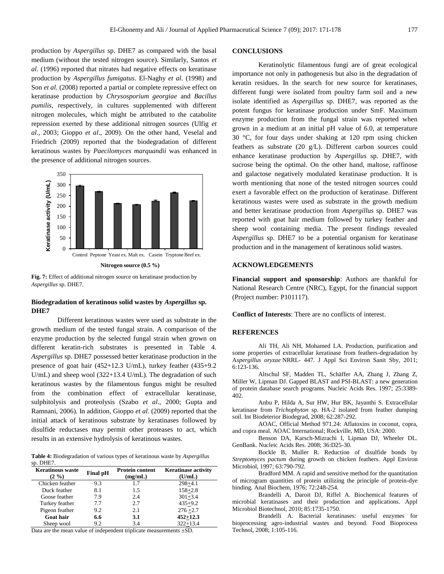production by *Aspergillus* sp. DHE7 as compared with the basal medium (without the tested nitrogen source). Similarly, Santos *et al*. (1996) reported that nitrates had negative effects on keratinase production by *Aspergillus fumigatus*. [El-Naghy](http://scialert.net/fulltext/?doi=jm.2010.21.35&org=10#368931_ja) *et al*. (1998) and Son *et al.* (2008) reported a partial or complete repressive effect on keratinase production by *Chrysosporium georgiae* and *Bacillus pumilis*, respectively, in cultures supplemented with different nitrogen molecules, which might be attributed to the catabolite repression exerted by these additional nitrogen sources (Ulfig *et al*., 2003; [Gioppo](http://scialert.net/fulltext/?doi=jm.2010.21.35&org=10#368937_ja) *et al*., 2009). On the other hand, [Veselal and](http://scialert.net/fulltext/?doi=jm.2010.21.35&org=10#368977_ja)  [Friedrich \(2009\)](http://scialert.net/fulltext/?doi=jm.2010.21.35&org=10#368977_ja) reported that the biodegradation of different keratinous wastes by *Paecilomyces marquandii* was enhanced in the presence of additional nitrogen sources.



**Fig. 7:** Effect of additional nitrogen source on keratinase production by *Aspergillus* sp. DHE7.

# **Biodegradation of keratinous solid wastes by** *Aspergillus* **sp. DHE7**

Different keratinous wastes were used as substrate in the growth medium of the tested fungal strain. A comparison of the enzyme production by the selected fungal strain when grown on different keratin-rich substrates is presented in Table 4. *Aspergillus* sp. DHE7 possessed better keratinase production in the presence of goat hair (452+12.3 U/mL), turkey feather (435+9.2 U/mL) and sheep wool (322+13.4 U/mL). The degradation of such keratinous wastes by the filamentous fungus might be resulted from the combination effect of extracellular keratinase, sulphitolysis and proteolysis (Szabo *et al*., 2000; [Gupta and](http://scialert.net/fulltext/?doi=jm.2010.21.35&org=10#368940_ja)  [Ramnani, 2006\)](http://scialert.net/fulltext/?doi=jm.2010.21.35&org=10#368940_ja). In addition, [Gioppo](http://scialert.net/fulltext/?doi=jm.2010.21.35&org=10#368937_ja) *et al*. (2009) reported that the initial attack of keratinous substrate by keratinases followed by disulfide reductases may permit other proteases to act, which results in an extensive hydrolysis of keratinous wastes.

**Table 4:** Biodegradation of various types of keratinous waste by *Aspergillus* sp. DHE7.

| <b>Keratinous waste</b><br>$(2 \frac{9}{6})$ | <b>Final pH</b> | <b>Protein content</b><br>(mg/mL) | <b>Keratinase activity</b><br>(U/mL) |
|----------------------------------------------|-----------------|-----------------------------------|--------------------------------------|
| Chicken feather                              | 9.3             | 1.7                               | $298 + 4.1$                          |
| Duck feather                                 | 8.1             | 1.5                               | $158 + 2.8$                          |
| Goose feather                                | 7.9             | 2.4                               | $301 + 3.4$                          |
| Turkey feather                               | 7.7             | 2.7                               | $435+9.2$                            |
| Pigeon feather                               | 9.2             | 2.1                               | $276 + 2.7$                          |
| <b>Goat hair</b>                             | 6.6             | 3.1                               | $452 + 12.3$                         |
| Sheep wool                                   | 9.2             | 3.4                               | $322 + 13.4$                         |

Data are the mean value of independent triplicate measurements ±SD.

#### **CONCLUSIONS**

Keratinolytic filamentous fungi are of great ecological importance not only in pathogenesis but also in the degradation of keratin residues. In the search for new source for keratinases, different fungi were isolated from poultry farm soil and a new isolate identified as *Aspergillus* sp. DHE7, was reported as the potent fungus for keratinase production under SmF. Maximum enzyme production from the fungal strain was reported when grown in a medium at an initial pH value of 6.0, at temperature 30 °C, for four days under shaking at 120 rpm using chicken feathers as substrate (20 g/L). Different carbon sources could enhance keratinase production by *Aspergillus* sp. DHE7, with sucrose being the optimal. On the other hand, maltose, raffinose and galactose negatively modulated keratinase production. It is worth mentioning that none of the tested nitrogen sources could exert a favorable effect on the production of keratinase. Different keratinous wastes were used as substrate in the growth medium and better keratinase production from *Aspergillus* sp. DHE7 was reported with goat hair medium followed by turkey feather and sheep wool containing media. The present findings revealed *Aspergillus* sp. DHE7 to be a potential organism for keratinase production and in the management of keratinous solid wastes.

#### **ACKNOWLEDGEMENTS**

**Financial support and sponsorship**: Authors are thankful for National Research Centre (NRC), Egypt, for the financial support (Project number: P101117).

**Conflict of Interests**: There are no conflicts of interest.

#### **REFERENCES**

Ali TH, Ali NH, Mohamed LA. Production, purification and some properties of extracellular keratinase from feathers-degradation by A*spergillus oryzae* NRRL- 447. J Appl Sci Environ Sanit Sby, 2011; 6:123-136.

Altschul SF, Madden TL, Schäffer AA, Zhang J, Zhang Z, Miller W, Lipman DJ. Gapped BLAST and PSI-BLAST: a new generation of protein database search programs. Nucleic Acids Res. 1997; 25:3389- 402.

Anbu P, Hilda A, Sur HW, Hur BK, Jayanthi S. Extracellular keratinase from *Trichophyton* sp. HA-2 isolated from feather dumping soil. Int Biodeterior Biodegrad, 2008; 62:287-292.

AOAC, Official Method 971.24: Aflatoxins in coconut, copra, and copra meal. AOAC International; Rockville, MD, USA: 2000.

Benson DA, Karsch-Mizrachi I, Lipman DJ, Wheeler DL. GenBank. Nucleic Acids Res. 2008; 36:D25-30.

Bockle B, Muller R. Reduction of disulfide bonds by *Streptomyces pactum* during growth on chicken feathers. Appl Environ Microbiol, 1997; 63:790-792.

Bradford MM. A rapid and sensitive method for the quantitation of microgram quantities of protein utilizing the principle of protein-dye binding. Anal Biochem, 1976; 72:248-254.

Brandelli A, Daroit DJ, Riffel A. Biochemical features of microbial keratinases and their production and applications. Appl Microbiol Biotechnol, 2010; 85:1735-1750.

Brandelli A. Bacterial keratinases: useful enzymes for bioprocessing agro-industrial wastes and beyond. Food Bioprocess Technol, 2008; 1:105-116.